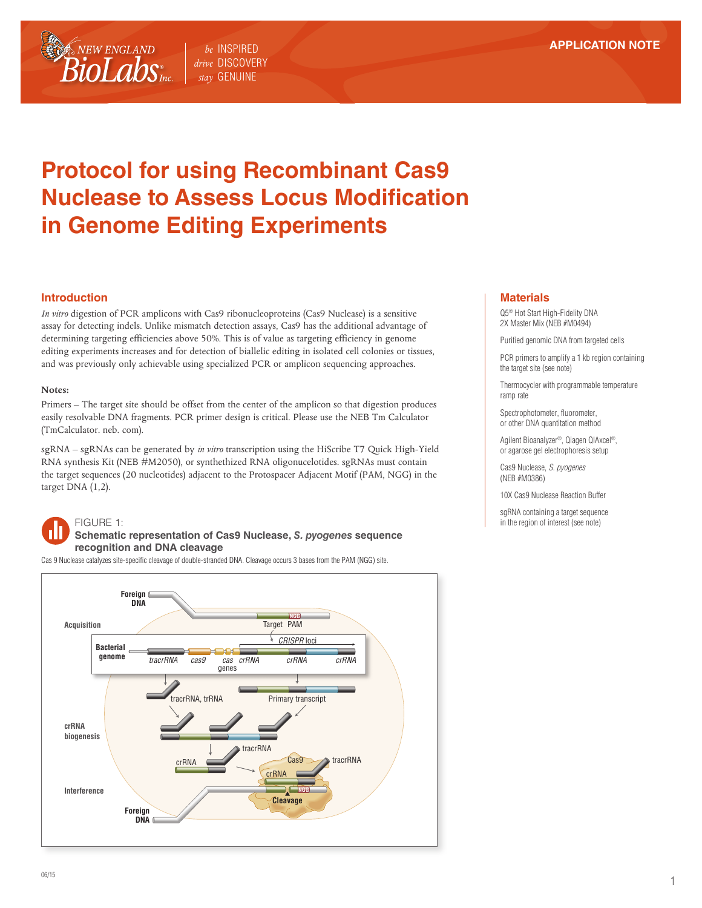

# **Protocol for using Recombinant Cas9 Nuclease to Assess Locus Modification in Genome Editing Experiments**

### **Introduction**

*In vitro* digestion of PCR amplicons with Cas9 ribonucleoproteins (Cas9 Nuclease) is a sensitive assay for detecting indels. Unlike mismatch detection assays, Cas9 has the additional advantage of determining targeting efficiencies above 50%. This is of value as targeting efficiency in genome editing experiments increases and for detection of biallelic editing in isolated cell colonies or tissues, and was previously only achievable using specialized PCR or amplicon sequencing approaches.

#### **Notes:**

Primers – The target site should be offset from the center of the amplicon so that digestion produces easily resolvable DNA fragments. PCR primer design is critical. Please use the NEB Tm Calculator (TmCalculator. neb. com).

sgRNA – sgRNAs can be generated by *in vitro* transcription using the HiScribe T7 Quick High-Yield RNA synthesis Kit (NEB #M2050), or synthethized RNA oligonucelotides. sgRNAs must contain the target sequences (20 nucleotides) adjacent to the Protospacer Adjacent Motif (PAM, NGG) in the target DNA (1,2).

# FIGURE 1:

**Schematic representation of Cas9 Nuclease,** *S. pyogenes* **sequence recognition and DNA cleavage**

Cas 9 Nuclease catalyzes site-specific cleavage of double-stranded DNA. Cleavage occurs 3 bases from the PAM (NGG) site.



#### **Materials**

Q5® Hot Start High-Fidelity DNA 2X Master Mix (NEB #M0494)

Purified genomic DNA from targeted cells

PCR primers to amplify a 1 kb region containing the target site (see note)

Thermocycler with programmable temperature ramp rate

Spectrophotometer, fluorometer, or other DNA quantitation method

Agilent Bioanalyzer®, Qiagen QIAxcel®, or agarose gel electrophoresis setup

Cas9 Nuclease, *S. pyogenes* (NEB #M0386)

10X Cas9 Nuclease Reaction Buffer

sgRNA containing a target sequence in the region of interest (see note)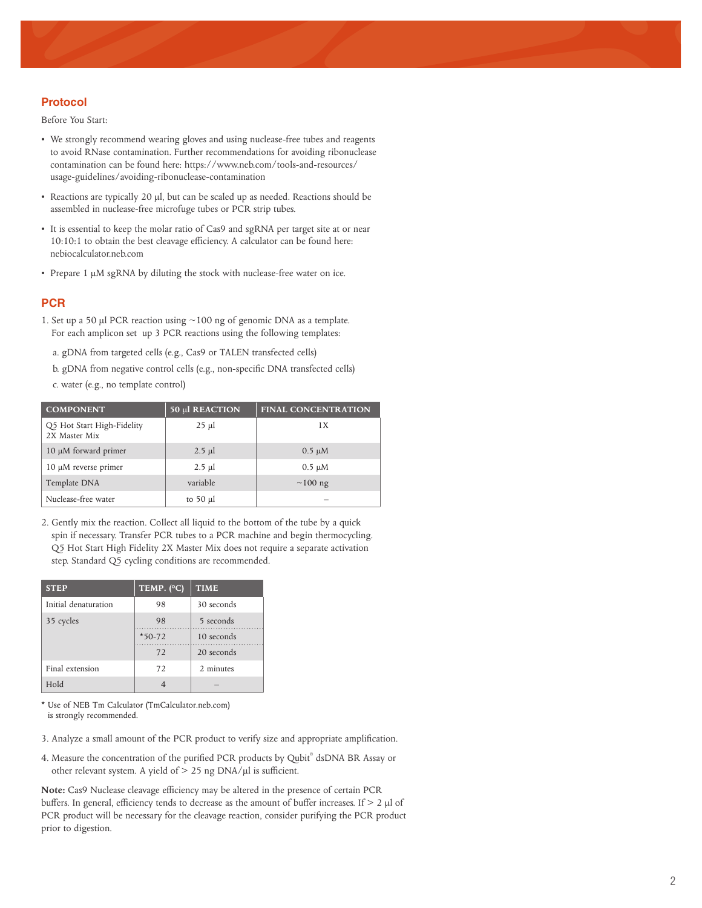## **Protocol**

Before You Start:

- We strongly recommend wearing gloves and using nuclease-free tubes and reagents to avoid RNase contamination. Further recommendations for avoiding ribonuclease contamination can be found here: https://www.neb.com/tools-and-resources/ usage-guidelines/avoiding-ribonuclease-contamination
- Reactions are typically 20 μl, but can be scaled up as needed. Reactions should be assembled in nuclease-free microfuge tubes or PCR strip tubes.
- It is essential to keep the molar ratio of Cas9 and sgRNA per target site at or near 10:10:1 to obtain the best cleavage efficiency. A calculator can be found here: nebiocalculator.neb.com
- Prepare 1 μM sgRNA by diluting the stock with nuclease-free water on ice.

#### **PCR**

- 1. Set up a 50  $\mu$ l PCR reaction using  $\sim$ 100 ng of genomic DNA as a template. For each amplicon set up 3 PCR reactions using the following templates:
	- a. gDNA from targeted cells (e.g., Cas9 or TALEN transfected cells)
	- b. gDNA from negative control cells (e.g., non-specific DNA transfected cells)
	- c. water (e.g., no template control)

| <b>COMPONENT</b>                            | 50 µl REACTION | <b>FINAL CONCENTRATION</b> |
|---------------------------------------------|----------------|----------------------------|
| Q5 Hot Start High-Fidelity<br>2X Master Mix | $25 \mu$       | 1 X                        |
| 10 μM forward primer                        | $2.5$ µl       | $0.5 \mu M$                |
| $10 \mu$ M reverse primer                   | $2.5$ µl       | $0.5 \mu M$                |
| Template DNA                                | variable       | $\sim$ 100 ng              |
| Nuclease-free water                         | to 50 $\mu$ l  |                            |

2. Gently mix the reaction. Collect all liquid to the bottom of the tube by a quick spin if necessary. Transfer PCR tubes to a PCR machine and begin thermocycling. Q5 Hot Start High Fidelity 2X Master Mix does not require a separate activation step. Standard Q5 cycling conditions are recommended.

| <b>STEP</b>          | TEMP. (°C) | <b>TIME</b> |
|----------------------|------------|-------------|
| Initial denaturation | 98         | 30 seconds  |
| 35 cycles            | 98         | 5 seconds   |
|                      | $*50-72$   | 10 seconds  |
|                      | 72         | 20 seconds  |
| Final extension      | 72         | 2 minutes   |
| <b>Hold</b>          |            |             |

\* Use of NEB Tm Calculator (TmCalculator.neb.com) is strongly recommended.

- 3. Analyze a small amount of the PCR product to verify size and appropriate amplification.
- 4. Measure the concentration of the purified PCR products by Qubit® dsDNA BR Assay or other relevant system. A yield of > 25 ng DNA/μl is sufficient.

**Note:** Cas9 Nuclease cleavage efficiency may be altered in the presence of certain PCR buffers. In general, efficiency tends to decrease as the amount of buffer increases. If  $> 2$  µl of PCR product will be necessary for the cleavage reaction, consider purifying the PCR product prior to digestion.